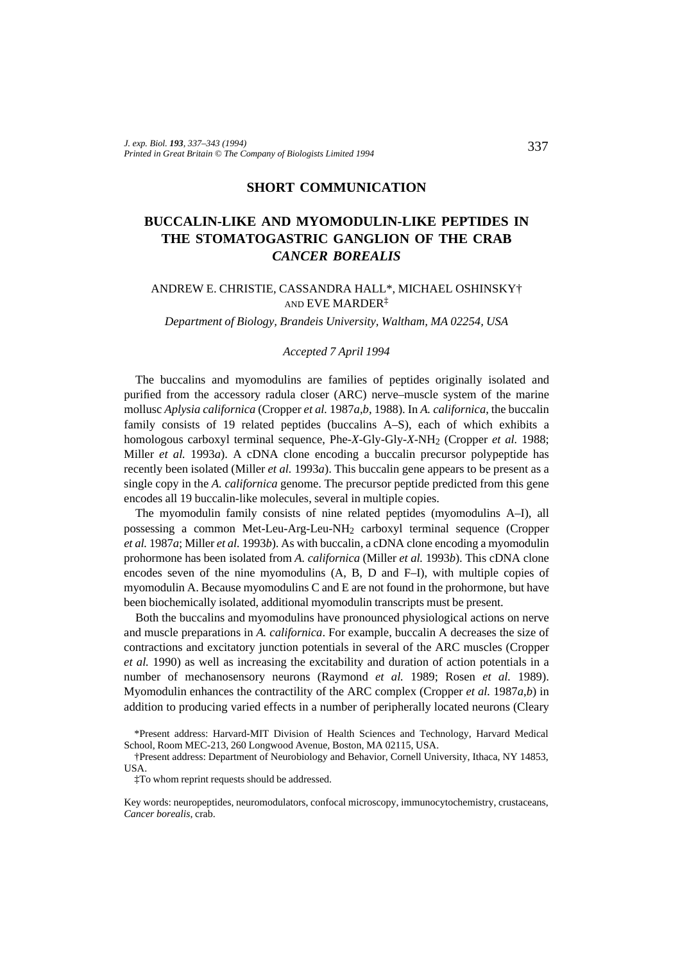### **SHORT COMMUNICATION**

# **BUCCALIN-LIKE AND MYOMODULIN-LIKE PEPTIDES IN THE STOMATOGASTRIC GANGLION OF THE CRAB** *CANCER BOREALIS*

### ANDREW E. CHRISTIE, CASSANDRA HALL\*, MICHAEL OSHINSKY† AND EVE MARDER‡

*Department of Biology, Brandeis University, Waltham, MA 02254, USA*

#### *Accepted 7 April 1994*

The buccalins and myomodulins are families of peptides originally isolated and purified from the accessory radula closer (ARC) nerve–muscle system of the marine mollusc *Aplysia californica* (Cropper *et al.* 1987*a*,*b*, 1988). In *A. californica*, the buccalin family consists of 19 related peptides (buccalins A–S), each of which exhibits a homologous carboxyl terminal sequence, Phe-*X*-Gly-Gly-*X*-NH2 (Cropper *et al.* 1988; Miller *et al.* 1993*a*). A cDNA clone encoding a buccalin precursor polypeptide has recently been isolated (Miller *et al.* 1993*a*). This buccalin gene appears to be present as a single copy in the *A. californica* genome. The precursor peptide predicted from this gene encodes all 19 buccalin-like molecules, several in multiple copies.

The myomodulin family consists of nine related peptides (myomodulins A–I), all possessing a common Met-Leu-Arg-Leu-NH2 carboxyl terminal sequence (Cropper *et al.* 1987*a*; Miller *et al.* 1993*b*). As with buccalin, a cDNA clone encoding a myomodulin prohormone has been isolated from *A. californica* (Miller *et al.* 1993*b*). This cDNA clone encodes seven of the nine myomodulins (A, B, D and F–I), with multiple copies of myomodulin A. Because myomodulins C and E are not found in the prohormone, but have been biochemically isolated, additional myomodulin transcripts must be present.

Both the buccalins and myomodulins have pronounced physiological actions on nerve and muscle preparations in *A. californica*. For example, buccalin A decreases the size of contractions and excitatory junction potentials in several of the ARC muscles (Cropper *et al.* 1990) as well as increasing the excitability and duration of action potentials in a number of mechanosensory neurons (Raymond *et al.* 1989; Rosen *et al.* 1989). Myomodulin enhances the contractility of the ARC complex (Cropper *et al.* 1987*a*,*b*) in addition to producing varied effects in a number of peripherally located neurons (Cleary

<sup>\*</sup>Present address: Harvard-MIT Division of Health Sciences and Technology, Harvard Medical School, Room MEC-213, 260 Longwood Avenue, Boston, MA 02115, USA.

<sup>†</sup>Present address: Department of Neurobiology and Behavior, Cornell University, Ithaca, NY 14853, **USA** 

<sup>‡</sup>To whom reprint requests should be addressed.

Key words: neuropeptides, neuromodulators, confocal microscopy, immunocytochemistry, crustaceans, *Cancer borealis*, crab.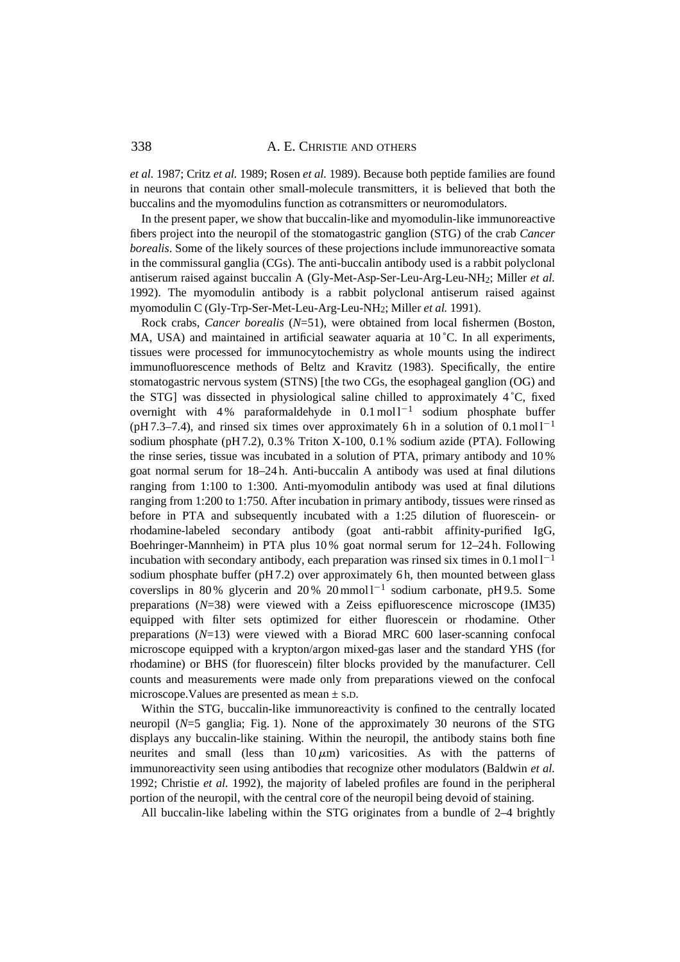## 338 **A. E. CHRISTIE AND OTHERS**

*et al.* 1987; Critz *et al.* 1989; Rosen *et al.* 1989). Because both peptide families are found in neurons that contain other small-molecule transmitters, it is believed that both the buccalins and the myomodulins function as cotransmitters or neuromodulators.

In the present paper, we show that buccalin-like and myomodulin-like immunoreactive fibers project into the neuropil of the stomatogastric ganglion (STG) of the crab *Cancer borealis*. Some of the likely sources of these projections include immunoreactive somata in the commissural ganglia (CGs). The anti-buccalin antibody used is a rabbit polyclonal antiserum raised against buccalin A (Gly-Met-Asp-Ser-Leu-Arg-Leu-NH2; Miller *et al.* 1992). The myomodulin antibody is a rabbit polyclonal antiserum raised against myomodulin C (Gly-Trp-Ser-Met-Leu-Arg-Leu-NH2; Miller *et al.* 1991).

Rock crabs, *Cancer borealis* (*N*=51), were obtained from local fishermen (Boston, MA, USA) and maintained in artificial seawater aquaria at  $10^{\circ}$ C. In all experiments, tissues were processed for immunocytochemistry as whole mounts using the indirect immunofluorescence methods of Beltz and Kravitz (1983). Specifically, the entire stomatogastric nervous system (STNS) [the two CGs, the esophageal ganglion (OG) and the STG] was dissected in physiological saline chilled to approximately 4 ˚C, fixed overnight with 4% paraformaldehyde in  $0.1 \text{ mol}^{-1}$  sodium phosphate buffer (pH 7.3–7.4), and rinsed six times over approximately 6h in a solution of  $0.1 \text{ mol}^{-1}$ sodium phosphate (pH 7.2), 0.3 % Triton X-100, 0.1 % sodium azide (PTA). Following the rinse series, tissue was incubated in a solution of PTA, primary antibody and 10 % goat normal serum for 18–24 h. Anti-buccalin A antibody was used at final dilutions ranging from 1:100 to 1:300. Anti-myomodulin antibody was used at final dilutions ranging from 1:200 to 1:750. After incubation in primary antibody, tissues were rinsed as before in PTA and subsequently incubated with a 1:25 dilution of fluorescein- or rhodamine-labeled secondary antibody (goat anti-rabbit affinity-purified IgG, Boehringer-Mannheim) in PTA plus 10 % goat normal serum for 12–24 h. Following incubation with secondary antibody, each preparation was rinsed six times in  $0.1 \text{ mol}^{-1}$ sodium phosphate buffer (pH 7.2) over approximately 6 h, then mounted between glass coverslips in 80% glycerin and 20% 20 mmol  $1^{-1}$  sodium carbonate, pH 9.5. Some preparations (*N*=38) were viewed with a Zeiss epifluorescence microscope (IM35) equipped with filter sets optimized for either fluorescein or rhodamine. Other preparations (*N*=13) were viewed with a Biorad MRC 600 laser-scanning confocal microscope equipped with a krypton/argon mixed-gas laser and the standard YHS (for rhodamine) or BHS (for fluorescein) filter blocks provided by the manufacturer. Cell counts and measurements were made only from preparations viewed on the confocal microscope.Values are presented as mean ± S.D.

Within the STG, buccalin-like immunoreactivity is confined to the centrally located neuropil (*N*=5 ganglia; Fig. 1). None of the approximately 30 neurons of the STG displays any buccalin-like staining. Within the neuropil, the antibody stains both fine neurites and small (less than  $10 \mu m$ ) varicosities. As with the patterns of immunoreactivity seen using antibodies that recognize other modulators (Baldwin *et al.* 1992; Christie *et al.* 1992), the majority of labeled profiles are found in the peripheral portion of the neuropil, with the central core of the neuropil being devoid of staining.

All buccalin-like labeling within the STG originates from a bundle of 2–4 brightly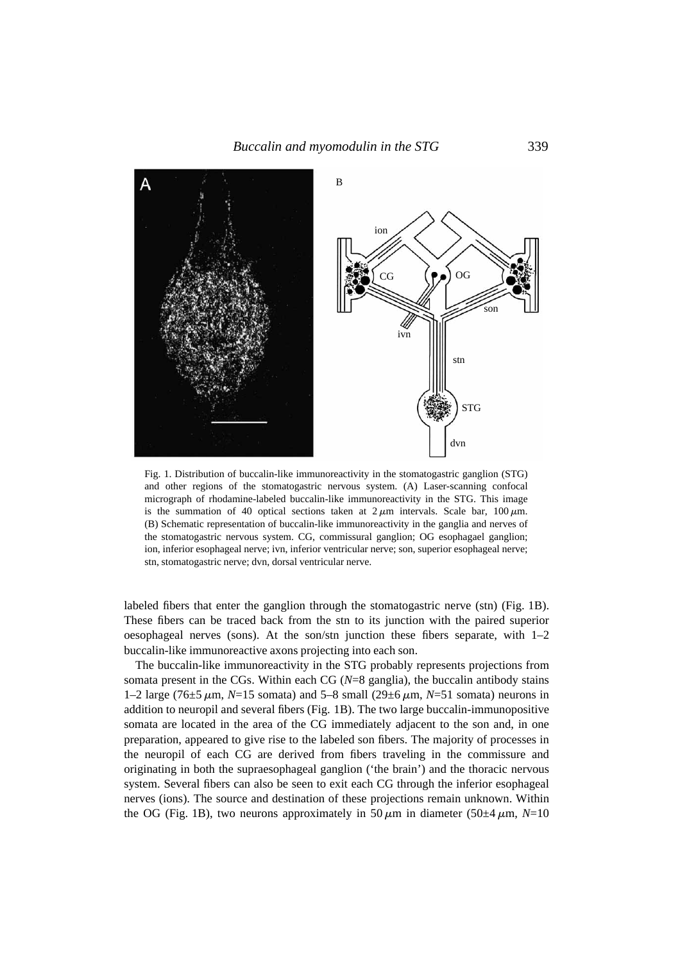

Fig. 1. Distribution of buccalin-like immunoreactivity in the stomatogastric ganglion (STG) and other regions of the stomatogastric nervous system. (A) Laser-scanning confocal micrograph of rhodamine-labeled buccalin-like immunoreactivity in the STG. This image is the summation of 40 optical sections taken at  $2 \mu m$  intervals. Scale bar,  $100 \mu m$ . (B) Schematic representation of buccalin-like immunoreactivity in the ganglia and nerves of the stomatogastric nervous system. CG, commissural ganglion; OG esophagael ganglion; ion, inferior esophageal nerve; ivn, inferior ventricular nerve; son, superior esophageal nerve; stn, stomatogastric nerve; dvn, dorsal ventricular nerve.

labeled fibers that enter the ganglion through the stomatogastric nerve (stn) (Fig. 1B). These fibers can be traced back from the stn to its junction with the paired superior oesophageal nerves (sons). At the son/stn junction these fibers separate, with 1–2 buccalin-like immunoreactive axons projecting into each son.

The buccalin-like immunoreactivity in the STG probably represents projections from somata present in the CGs. Within each CG (*N*=8 ganglia), the buccalin antibody stains 1–2 large (76 $\pm$ 5  $\mu$ m, *N*=15 somata) and 5–8 small (29 $\pm$ 6  $\mu$ m, *N*=51 somata) neurons in addition to neuropil and several fibers (Fig. 1B). The two large buccalin-immunopositive somata are located in the area of the CG immediately adjacent to the son and, in one preparation, appeared to give rise to the labeled son fibers. The majority of processes in the neuropil of each CG are derived from fibers traveling in the commissure and originating in both the supraesophageal ganglion ('the brain') and the thoracic nervous system. Several fibers can also be seen to exit each CG through the inferior esophageal nerves (ions). The source and destination of these projections remain unknown. Within the OG (Fig. 1B), two neurons approximately in 50  $\mu$ m in diameter (50 $\pm$ 4  $\mu$ m, *N*=10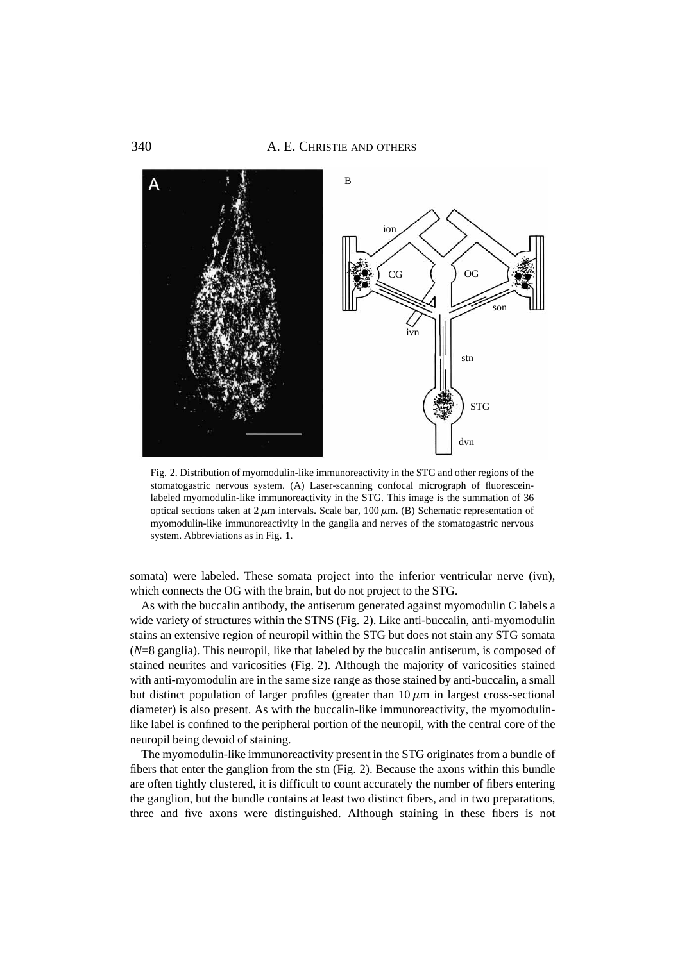

Fig. 2. Distribution of myomodulin-like immunoreactivity in the STG and other regions of the stomatogastric nervous system. (A) Laser-scanning confocal micrograph of fluoresceinlabeled myomodulin-like immunoreactivity in the STG. This image is the summation of 36 optical sections taken at  $2 \mu m$  intervals. Scale bar, 100  $\mu$ m. (B) Schematic representation of myomodulin-like immunoreactivity in the ganglia and nerves of the stomatogastric nervous system. Abbreviations as in Fig. 1.

somata) were labeled. These somata project into the inferior ventricular nerve (ivn), which connects the OG with the brain, but do not project to the STG.

As with the buccalin antibody, the antiserum generated against myomodulin C labels a wide variety of structures within the STNS (Fig. 2). Like anti-buccalin, anti-myomodulin stains an extensive region of neuropil within the STG but does not stain any STG somata (*N*=8 ganglia). This neuropil, like that labeled by the buccalin antiserum, is composed of stained neurites and varicosities (Fig. 2). Although the majority of varicosities stained with anti-myomodulin are in the same size range as those stained by anti-buccalin, a small but distinct population of larger profiles (greater than  $10 \mu m$  in largest cross-sectional diameter) is also present. As with the buccalin-like immunoreactivity, the myomodulinlike label is confined to the peripheral portion of the neuropil, with the central core of the neuropil being devoid of staining.

The myomodulin-like immunoreactivity present in the STG originates from a bundle of fibers that enter the ganglion from the stn (Fig. 2). Because the axons within this bundle are often tightly clustered, it is difficult to count accurately the number of fibers entering the ganglion, but the bundle contains at least two distinct fibers, and in two preparations, three and five axons were distinguished. Although staining in these fibers is not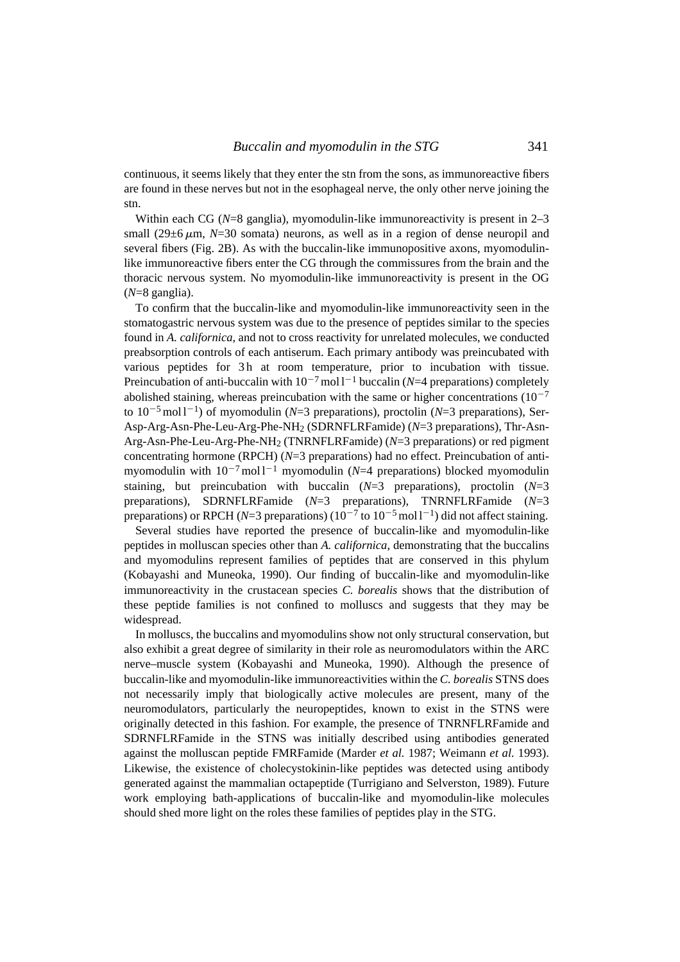continuous, it seems likely that they enter the stn from the sons, as immunoreactive fibers are found in these nerves but not in the esophageal nerve, the only other nerve joining the stn.

Within each CG ( $N=8$  ganglia), myomodulin-like immunoreactivity is present in 2–3 small  $(29\pm6 \,\mu \text{m}, N=30 \text{ somata})$  neurons, as well as in a region of dense neuropil and several fibers (Fig. 2B). As with the buccalin-like immunopositive axons, myomodulinlike immunoreactive fibers enter the CG through the commissures from the brain and the thoracic nervous system. No myomodulin-like immunoreactivity is present in the OG (*N*=8 ganglia).

To confirm that the buccalin-like and myomodulin-like immunoreactivity seen in the stomatogastric nervous system was due to the presence of peptides similar to the species found in *A. californica*, and not to cross reactivity for unrelated molecules, we conducted preabsorption controls of each antiserum. Each primary antibody was preincubated with various peptides for 3h at room temperature, prior to incubation with tissue. Preincubation of anti-buccalin with  $10^{-7}$  mol l<sup>-1</sup> buccalin (*N*=4 preparations) completely abolished staining, whereas preincubation with the same or higher concentrations  $(10^{-7}$ to  $10^{-5}$  mol l<sup>-1</sup>) of myomodulin (*N*=3 preparations), proctolin (*N*=3 preparations), Ser-Asp-Arg-Asn-Phe-Leu-Arg-Phe-NH2 (SDRNFLRFamide) (*N*=3 preparations), Thr-Asn-Arg-Asn-Phe-Leu-Arg-Phe-NH2 (TNRNFLRFamide) (*N*=3 preparations) or red pigment concentrating hormone (RPCH) (*N*=3 preparations) had no effect. Preincubation of antimyomodulin with  $10^{-7}$  mol<sup>1-1</sup> myomodulin (*N*=4 preparations) blocked myomodulin staining, but preincubation with buccalin  $(N=3$  preparations), proctolin  $(N=3)$ preparations), SDRNFLRFamide (*N*=3 preparations), TNRNFLRFamide (*N*=3 preparations) or RPCH ( $N=3$  preparations) ( $10^{-7}$  to  $10^{-5}$  mol l<sup>-1</sup>) did not affect staining.

Several studies have reported the presence of buccalin-like and myomodulin-like peptides in molluscan species other than *A. californica*, demonstrating that the buccalins and myomodulins represent families of peptides that are conserved in this phylum (Kobayashi and Muneoka, 1990). Our finding of buccalin-like and myomodulin-like immunoreactivity in the crustacean species *C. borealis* shows that the distribution of these peptide families is not confined to molluscs and suggests that they may be widespread.

In molluscs, the buccalins and myomodulins show not only structural conservation, but also exhibit a great degree of similarity in their role as neuromodulators within the ARC nerve–muscle system (Kobayashi and Muneoka, 1990). Although the presence of buccalin-like and myomodulin-like immunoreactivities within the *C. borealis* STNS does not necessarily imply that biologically active molecules are present, many of the neuromodulators, particularly the neuropeptides, known to exist in the STNS were originally detected in this fashion. For example, the presence of TNRNFLRFamide and SDRNFLRFamide in the STNS was initially described using antibodies generated against the molluscan peptide FMRFamide (Marder *et al.* 1987; Weimann *et al.* 1993). Likewise, the existence of cholecystokinin-like peptides was detected using antibody generated against the mammalian octapeptide (Turrigiano and Selverston, 1989). Future work employing bath-applications of buccalin-like and myomodulin-like molecules should shed more light on the roles these families of peptides play in the STG.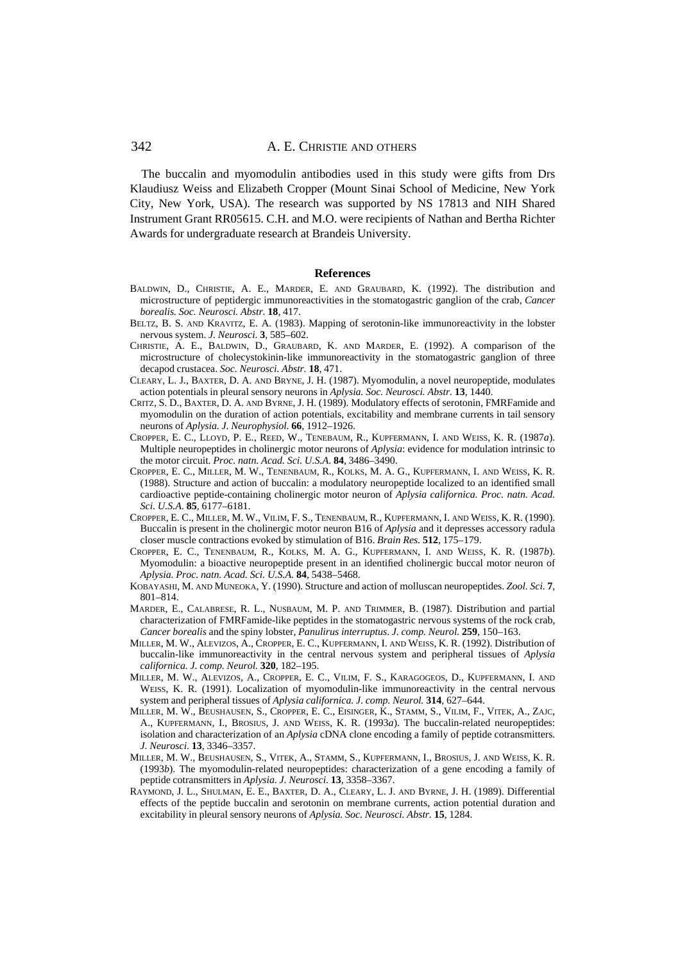The buccalin and myomodulin antibodies used in this study were gifts from Drs Klaudiusz Weiss and Elizabeth Cropper (Mount Sinai School of Medicine, New York City, New York, USA). The research was supported by NS 17813 and NIH Shared Instrument Grant RR05615. C.H. and M.O. were recipients of Nathan and Bertha Richter Awards for undergraduate research at Brandeis University.

#### **References**

- BALDWIN, D., CHRISTIE, A. E., MARDER, E. AND GRAUBARD, K. (1992). The distribution and microstructure of peptidergic immunoreactivities in the stomatogastric ganglion of the crab, *Cancer borealis. Soc. Neurosci. Abstr.* **18**, 417.
- BELTZ, B. S. AND KRAVITZ, E. A. (1983). Mapping of serotonin-like immunoreactivity in the lobster nervous system. *J. Neurosci.* **3**, 585–602.
- CHRISTIE, A. E., BALDWIN, D., GRAUBARD, K. AND MARDER, E. (1992). A comparison of the microstructure of cholecystokinin-like immunoreactivity in the stomatogastric ganglion of three decapod crustacea. *Soc. Neurosci. Abstr.* **18**, 471.
- CLEARY, L. J., BAXTER, D. A. AND BRYNE, J. H. (1987). Myomodulin, a novel neuropeptide, modulates action potentials in pleural sensory neurons in *Aplysia. Soc. Neurosci. Abstr.* **13**, 1440.
- CRITZ, S. D., BAXTER, D. A. AND BYRNE, J. H. (1989). Modulatory effects of serotonin, FMRFamide and myomodulin on the duration of action potentials, excitability and membrane currents in tail sensory neurons of *Aplysia. J. Neurophysiol.* **66**, 1912–1926.
- CROPPER, E. C., LLOYD, P. E., REED, W., TENEBAUM, R., KUPFERMANN, I. AND WEISS, K. R. (1987*a*). Multiple neuropeptides in cholinergic motor neurons of *Aplysia*: evidence for modulation intrinsic to the motor circuit. *Proc. natn. Acad. Sci. U.S.A*. **84**, 3486–3490.
- CROPPER, E. C., MILLER, M. W., TENENBAUM, R., KOLKS, M. A. G., KUPFERMANN, I. AND WEISS, K. R. (1988). Structure and action of buccalin: a modulatory neuropeptide localized to an identified small cardioactive peptide-containing cholinergic motor neuron of *Aplysia californica. Proc. natn. Acad. Sci. U.S.A.* **85**, 6177–6181.
- CROPPER, E. C., MILLER, M. W., VILIM, F. S., TENENBAUM, R., KUPFERMANN, I. AND WEISS, K. R. (1990). Buccalin is present in the cholinergic motor neuron B16 of *Aplysia* and it depresses accessory radula closer muscle contractions evoked by stimulation of B16. *Brain Res.* **512**, 175–179.
- CROPPER, E. C., TENENBAUM, R., KOLKS, M. A. G., KUPFERMANN, I. AND WEISS, K. R. (1987*b*). Myomodulin: a bioactive neuropeptide present in an identified cholinergic buccal motor neuron of *Aplysia. Proc. natn. Acad. Sci. U.S.A.* **84**, 5438–5468.
- KOBAYASHI, M. AND MUNEOKA, Y. (1990). Structure and action of molluscan neuropeptides. *Zool. Sci.* **7**, 801–814.
- MARDER, E., CALABRESE, R. L., NUSBAUM, M. P. AND TRIMMER, B. (1987). Distribution and partial characterization of FMRFamide-like peptides in the stomatogastric nervous systems of the rock crab, *Cancer borealis* and the spiny lobster, *Panulirus interruptus*. *J. comp. Neurol.* **259**, 150–163.
- MILLER, M. W., ALEVIZOS, A., CROPPER, E. C., KUPFERMANN, I. AND WEISS, K. R. (1992). Distribution of buccalin-like immunoreactivity in the central nervous system and peripheral tissues of *Aplysia californica. J. comp. Neurol.* **320**, 182–195.
- MILLER, M. W., ALEVIZOS, A., CROPPER, E. C., VILIM, F. S., KARAGOGEOS, D., KUPFERMANN, I. AND WEISS, K. R. (1991). Localization of myomodulin-like immunoreactivity in the central nervous system and peripheral tissues of *Aplysia californica. J. comp. Neurol.* **314**, 627–644.
- MILLER, M. W., BEUSHAUSEN, S., CROPPER, E. C., EISINGER, K., STAMM, S., VILIM, F., VITEK, A., ZAJC, A., KUPFERMANN, I., BROSIUS, J. AND WEISS, K. R. (1993*a*). The buccalin-related neuropeptides: isolation and characterization of an *Aplysia* cDNA clone encoding a family of peptide cotransmitters. *J. Neurosci.* **13**, 3346–3357.
- MILLER, M. W., BEUSHAUSEN, S., VITEK, A., STAMM, S., KUPFERMANN, I., BROSIUS, J. AND WEISS, K. R. (1993*b*). The myomodulin-related neuropeptides: characterization of a gene encoding a family of peptide cotransmitters in *Aplysia. J. Neurosci.* **13**, 3358–3367.
- RAYMOND, J. L., SHULMAN, E. E., BAXTER, D. A., CLEARY, L. J. AND BYRNE, J. H. (1989). Differential effects of the peptide buccalin and serotonin on membrane currents, action potential duration and excitability in pleural sensory neurons of *Aplysia. Soc. Neurosci. Abstr.* **15**, 1284.